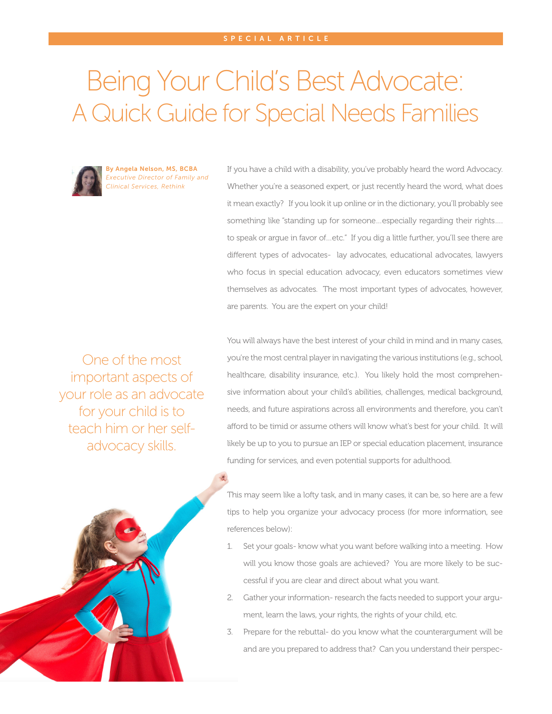## Being Your Child's Best Advocate: A Quick Guide for Special Needs Families



By Angela Nelson, MS, BCBA *Executive Director of Family and Clinical Services, Rethink*

If you have a child with a disability, you've probably heard the word Advocacy. Whether you're a seasoned expert, or just recently heard the word, what does it mean exactly? If you look it up online or in the dictionary, you'll probably see something like "standing up for someone...especially regarding their rights.... to speak or argue in favor of…etc." If you dig a little further, you'll see there are different types of advocates- lay advocates, educational advocates, lawyers who focus in special education advocacy, even educators sometimes view themselves as advocates. The most important types of advocates, however, are parents. You are the expert on your child!

One of the most important aspects of your role as an advocate for your child is to teach him or her selfadvocacy skills.

You will always have the best interest of your child in mind and in many cases, you're the most central player in navigating the various institutions (e.g., school, healthcare, disability insurance, etc.). You likely hold the most comprehensive information about your child's abilities, challenges, medical background, needs, and future aspirations across all environments and therefore, you can't afford to be timid or assume others will know what's best for your child. It will likely be up to you to pursue an IEP or special education placement, insurance funding for services, and even potential supports for adulthood.



This may seem like a lofty task, and in many cases, it can be, so here are a few tips to help you organize your advocacy process (for more information, see references below):

- 1. Set your goals- know what you want before walking into a meeting. How will you know those goals are achieved? You are more likely to be successful if you are clear and direct about what you want.
- 2. Gather your information- research the facts needed to support your argument, learn the laws, your rights, the rights of your child, etc.
- 3. Prepare for the rebuttal- do you know what the counterargument will be and are you prepared to address that? Can you understand their perspec-